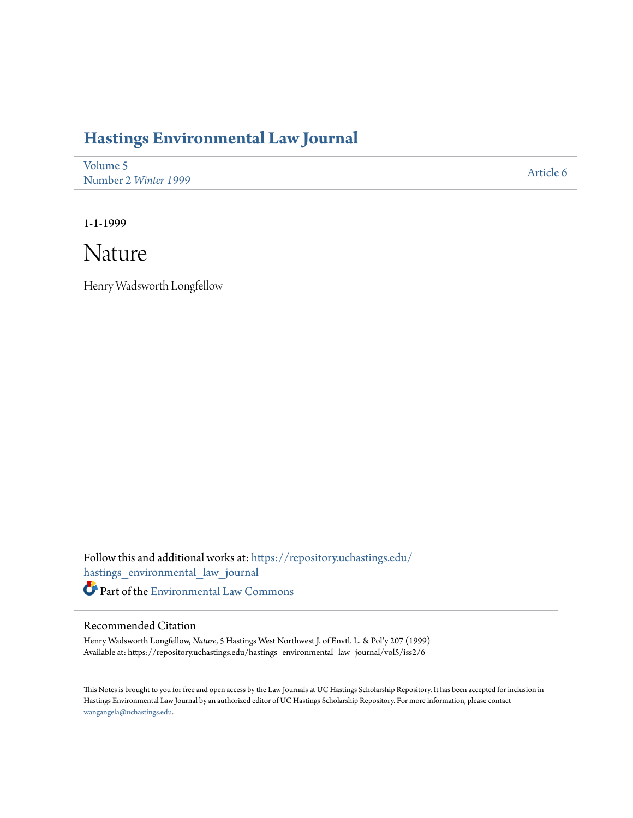## **[Hastings Environmental Law Journal](https://repository.uchastings.edu/hastings_environmental_law_journal?utm_source=repository.uchastings.edu%2Fhastings_environmental_law_journal%2Fvol5%2Fiss2%2F6&utm_medium=PDF&utm_campaign=PDFCoverPages)**

| Volume 5             | Article 6 |
|----------------------|-----------|
| Number 2 Winter 1999 |           |

1-1-1999

## Nature

Henry Wadsworth Longfellow

Follow this and additional works at: [https://repository.uchastings.edu/](https://repository.uchastings.edu/hastings_environmental_law_journal?utm_source=repository.uchastings.edu%2Fhastings_environmental_law_journal%2Fvol5%2Fiss2%2F6&utm_medium=PDF&utm_campaign=PDFCoverPages) [hastings\\_environmental\\_law\\_journal](https://repository.uchastings.edu/hastings_environmental_law_journal?utm_source=repository.uchastings.edu%2Fhastings_environmental_law_journal%2Fvol5%2Fiss2%2F6&utm_medium=PDF&utm_campaign=PDFCoverPages) Part of the [Environmental Law Commons](http://network.bepress.com/hgg/discipline/599?utm_source=repository.uchastings.edu%2Fhastings_environmental_law_journal%2Fvol5%2Fiss2%2F6&utm_medium=PDF&utm_campaign=PDFCoverPages)

## Recommended Citation

Henry Wadsworth Longfellow, *Nature*, 5 Hastings West Northwest J. of Envtl. L. & Pol'y 207 (1999) Available at: https://repository.uchastings.edu/hastings\_environmental\_law\_journal/vol5/iss2/6

This Notes is brought to you for free and open access by the Law Journals at UC Hastings Scholarship Repository. It has been accepted for inclusion in Hastings Environmental Law Journal by an authorized editor of UC Hastings Scholarship Repository. For more information, please contact [wangangela@uchastings.edu](mailto:wangangela@uchastings.edu).